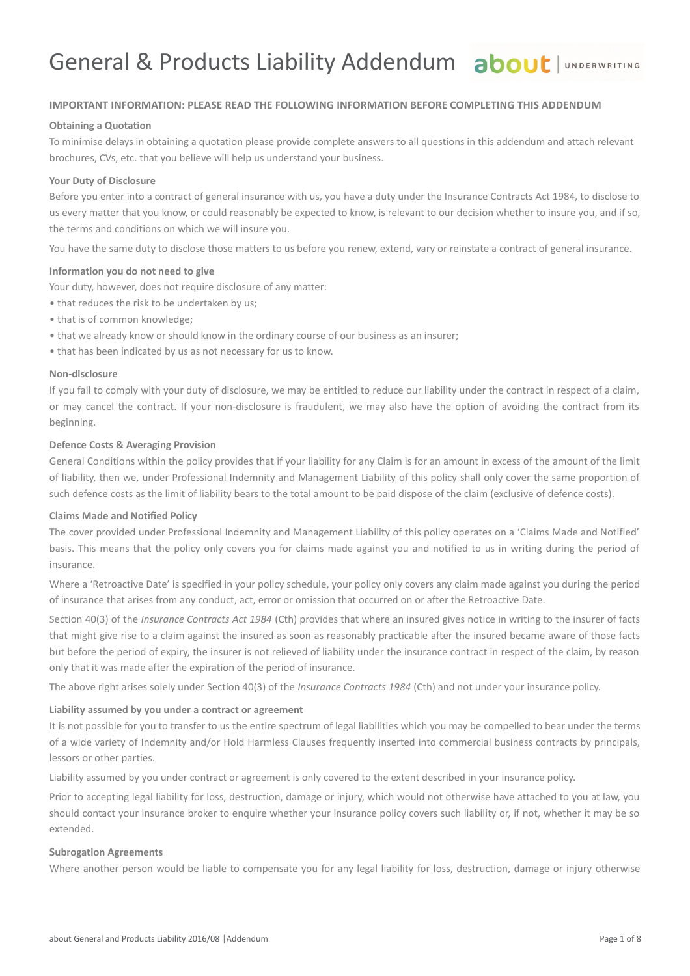# General & Products Liability Addendum about | UNDERWRITING

#### **IMPORTANT INFORMATION: PLEASE READ THE FOLLOWING INFORMATION BEFORE COMPLETING THIS ADDENDUM**

#### **Obtaining a Quotation**

To minimise delays in obtaining a quotation please provide complete answers to all questions in this addendum and attach relevant brochures, CVs, etc. that you believe will help us understand your business.

#### **Your Duty of Disclosure**

Before you enter into a contract of general insurance with us, you have a duty under the Insurance Contracts Act 1984, to disclose to us every matter that you know, or could reasonably be expected to know, is relevant to our decision whether to insure you, and if so, the terms and conditions on which we will insure you.

You have the same duty to disclose those matters to us before you renew, extend, vary or reinstate a contract of general insurance.

#### **Information you do not need to give**

Your duty, however, does not require disclosure of any matter:

- that reduces the risk to be undertaken by us;
- that is of common knowledge;
- that we already know or should know in the ordinary course of our business as an insurer;
- that has been indicated by us as not necessary for us to know.

#### **Non-disclosure**

If you fail to comply with your duty of disclosure, we may be entitled to reduce our liability under the contract in respect of a claim, or may cancel the contract. If your non-disclosure is fraudulent, we may also have the option of avoiding the contract from its beginning.

#### **Defence Costs & Averaging Provision**

General Conditions within the policy provides that if your liability for any Claim is for an amount in excess of the amount of the limit of liability, then we, under Professional Indemnity and Management Liability of this policy shall only cover the same proportion of such defence costs as the limit of liability bears to the total amount to be paid dispose of the claim (exclusive of defence costs).

#### **Claims Made and Notified Policy**

The cover provided under Professional Indemnity and Management Liability of this policy operates on a 'Claims Made and Notified' basis. This means that the policy only covers you for claims made against you and notified to us in writing during the period of insurance.

Where a 'Retroactive Date' is specified in your policy schedule, your policy only covers any claim made against you during the period of insurance that arises from any conduct, act, error or omission that occurred on or after the Retroactive Date.

Section 40(3) of the *Insurance Contracts Act 1984* (Cth) provides that where an insured gives notice in writing to the insurer of facts that might give rise to a claim against the insured as soon as reasonably practicable after the insured became aware of those facts but before the period of expiry, the insurer is not relieved of liability under the insurance contract in respect of the claim, by reason only that it was made after the expiration of the period of insurance.

The above right arises solely under Section 40(3) of the *Insurance Contracts 1984* (Cth) and not under your insurance policy.

#### **Liability assumed by you under a contract or agreement**

It is not possible for you to transfer to us the entire spectrum of legal liabilities which you may be compelled to bear under the terms of a wide variety of Indemnity and/or Hold Harmless Clauses frequently inserted into commercial business contracts by principals, lessors or other parties.

Liability assumed by you under contract or agreement is only covered to the extent described in your insurance policy.

Prior to accepting legal liability for loss, destruction, damage or injury, which would not otherwise have attached to you at law, you should contact your insurance broker to enquire whether your insurance policy covers such liability or, if not, whether it may be so extended.

#### **Subrogation Agreements**

Where another person would be liable to compensate you for any legal liability for loss, destruction, damage or injury otherwise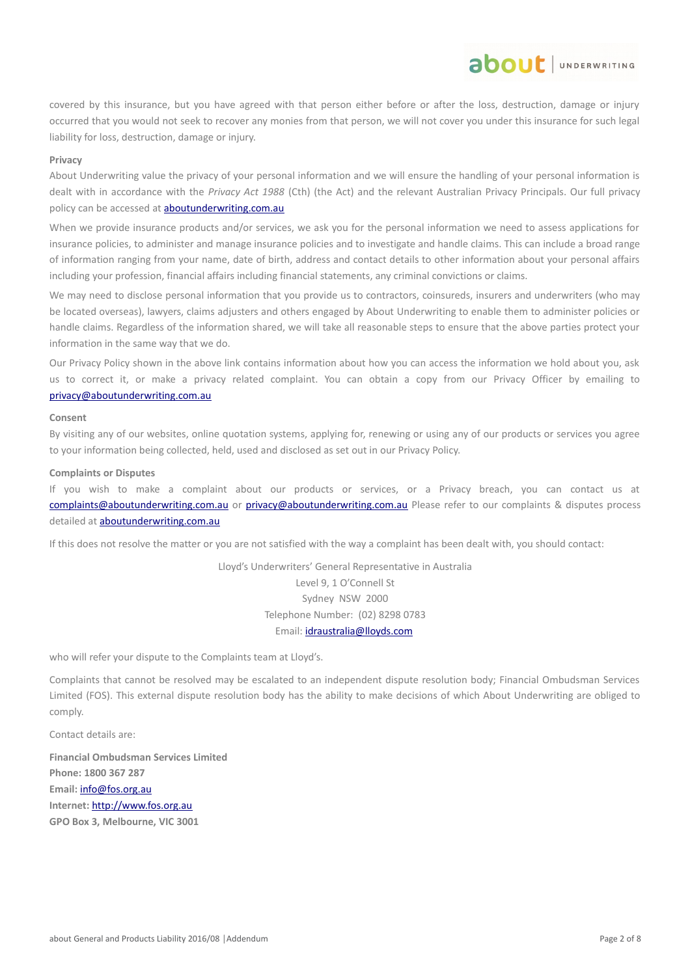covered by this insurance, but you have agreed with that person either before or after the loss, destruction, damage or injury occurred that you would not seek to recover any monies from that person, we will not cover you under this insurance for such legal liability for loss, destruction, damage or injury.

about JUNDERWRITING

#### **Privacy**

About Underwriting value the privacy of your personal information and we will ensure the handling of your personal information is dealt with in accordance with the *Privacy Act 1988* (Cth) (the Act) and the relevant Australian Privacy Principals. Our full privacy policy can be accessed at **aboutunderwriting.com.au** 

When we provide insurance products and/or services, we ask you for the personal information we need to assess applications for insurance policies, to administer and manage insurance policies and to investigate and handle claims. This can include a broad range of information ranging from your name, date of birth, address and contact details to other information about your personal affairs including your profession, financial affairs including financial statements, any criminal convictions or claims.

We may need to disclose personal information that you provide us to contractors, coinsureds, insurers and underwriters (who may be located overseas), lawyers, claims adjusters and others engaged by About Underwriting to enable them to administer policies or handle claims. Regardless of the information shared, we will take all reasonable steps to ensure that the above parties protect your information in the same way that we do.

Our Privacy Policy shown in the above link contains information about how you can access the information we hold about you, ask us to correct it, or make a privacy related complaint. You can obtain a copy from our Privacy Officer by emailing to [privacy@aboutunderwriting.com.au](mailto:privacy@aboutunderwriting.com.au)

#### **Consent**

By visiting any of our websites, online quotation systems, applying for, renewing or using any of our products or services you agree to your information being collected, held, used and disclosed as set out in our Privacy Policy.

#### **Complaints or Disputes**

If you wish to make a complaint about our products or services, or a Privacy breach, you can contact us at [complaints@aboutunderwriting.com.au](mailto:complaints@aboutunderwriting.com.au) or [privacy@aboutunderwriting.com.au](mailto:privacy@aboutunderwriting.com.au) Please refer to our complaints & disputes process detailed at [aboutunderwriting.com.au](http://www.aboutunderwriting.com.au/)

If this does not resolve the matter or you are not satisfied with the way a complaint has been dealt with, you should contact:

Lloyd's Underwriters' General Representative in Australia Level 9, 1 O'Connell St Sydney NSW 2000 Telephone Number: (02) 8298 0783 Email: [idraustralia@lloyds.com](mailto:idraustralia@lloyds.com)

who will refer your dispute to the Complaints team at Lloyd's.

Complaints that cannot be resolved may be escalated to an independent dispute resolution body; Financial Ombudsman Services Limited (FOS). This external dispute resolution body has the ability to make decisions of which About Underwriting are obliged to comply.

Contact details are:

**Financial Ombudsman Services Limited Phone: 1800 367 287 Email:** [info@fos.org.au](mailto:info@fos.org.au) **Internet:** [http://www.fos.org.au](http://www.fos.org.au/) **GPO Box 3, Melbourne, VIC 3001**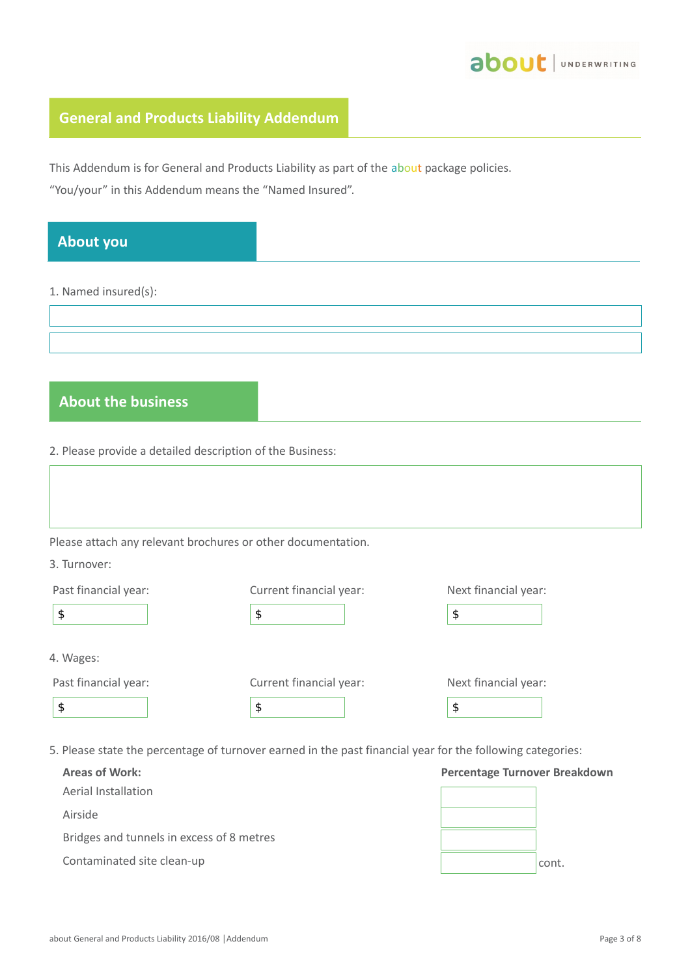

# **General and Products Liability Addendum**

This Addendum is for General and Products Liability as part of the about package policies.

"You/your" in this Addendum means the "Named Insured".

| <b>About you</b>                                          |                                                              |                              |
|-----------------------------------------------------------|--------------------------------------------------------------|------------------------------|
| 1. Named insured(s):                                      |                                                              |                              |
|                                                           |                                                              |                              |
|                                                           |                                                              |                              |
|                                                           |                                                              |                              |
| <b>About the business</b>                                 |                                                              |                              |
|                                                           |                                                              |                              |
| 2. Please provide a detailed description of the Business: |                                                              |                              |
|                                                           |                                                              |                              |
|                                                           |                                                              |                              |
|                                                           | Please attach any relevant brochures or other documentation. |                              |
| 3. Turnover:                                              |                                                              |                              |
| Past financial year:                                      | Current financial year:                                      | Next financial year:         |
| \$                                                        | \$                                                           | $\boldsymbol{\mathsf{\$}}$   |
|                                                           |                                                              |                              |
| 4. Wages:                                                 |                                                              |                              |
| Past financial year:<br>\$                                | Current financial year:<br>\$                                | Next financial year:<br>$\,$ |
|                                                           |                                                              |                              |

5. Please state the percentage of turnover earned in the past financial year for the following categories:

| <b>Areas of Work:</b>                     | <b>Percentage Turnover Breakdown</b> |       |
|-------------------------------------------|--------------------------------------|-------|
| Aerial Installation                       |                                      |       |
| Airside                                   |                                      |       |
| Bridges and tunnels in excess of 8 metres |                                      |       |
| Contaminated site clean-up                |                                      | cont. |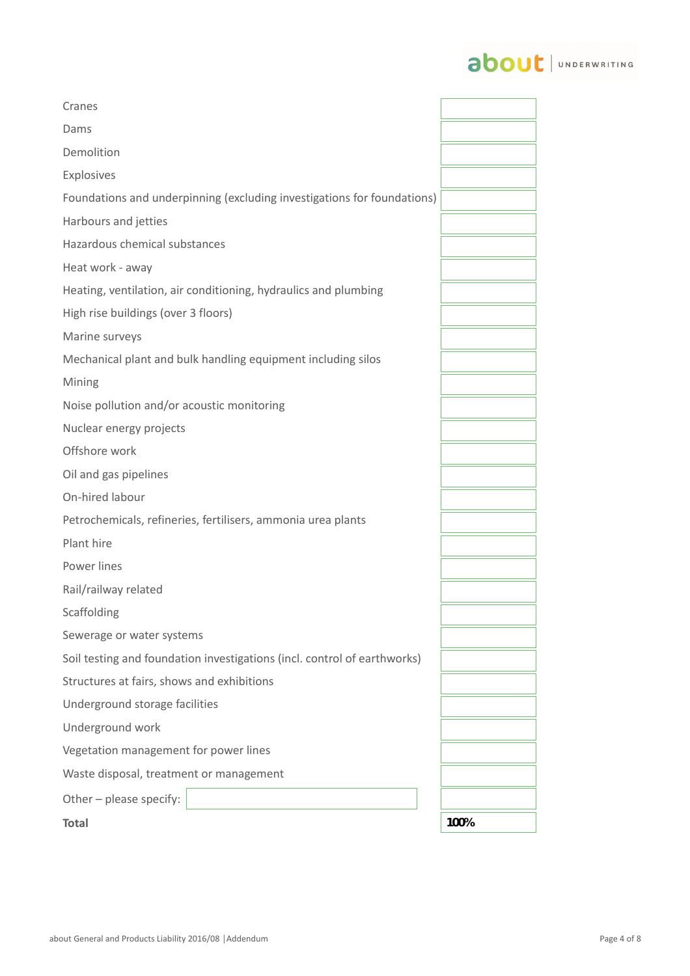# about | UNDERWRITING

| Cranes                                                                   |      |
|--------------------------------------------------------------------------|------|
| Dams                                                                     |      |
| Demolition                                                               |      |
| Explosives                                                               |      |
| Foundations and underpinning (excluding investigations for foundations)  |      |
| Harbours and jetties                                                     |      |
| Hazardous chemical substances                                            |      |
| Heat work - away                                                         |      |
| Heating, ventilation, air conditioning, hydraulics and plumbing          |      |
| High rise buildings (over 3 floors)                                      |      |
| Marine surveys                                                           |      |
| Mechanical plant and bulk handling equipment including silos             |      |
| Mining                                                                   |      |
| Noise pollution and/or acoustic monitoring                               |      |
| Nuclear energy projects                                                  |      |
| Offshore work                                                            |      |
| Oil and gas pipelines                                                    |      |
| On-hired labour                                                          |      |
| Petrochemicals, refineries, fertilisers, ammonia urea plants             |      |
| Plant hire                                                               |      |
| Power lines                                                              |      |
| Rail/railway related                                                     |      |
| <b>Scaffolding</b>                                                       |      |
| Sewerage or water systems                                                |      |
| Soil testing and foundation investigations (incl. control of earthworks) |      |
| Structures at fairs, shows and exhibitions                               |      |
| Underground storage facilities                                           |      |
| Underground work                                                         |      |
| Vegetation management for power lines                                    |      |
| Waste disposal, treatment or management                                  |      |
| Other - please specify:                                                  |      |
| <b>Total</b>                                                             | 100% |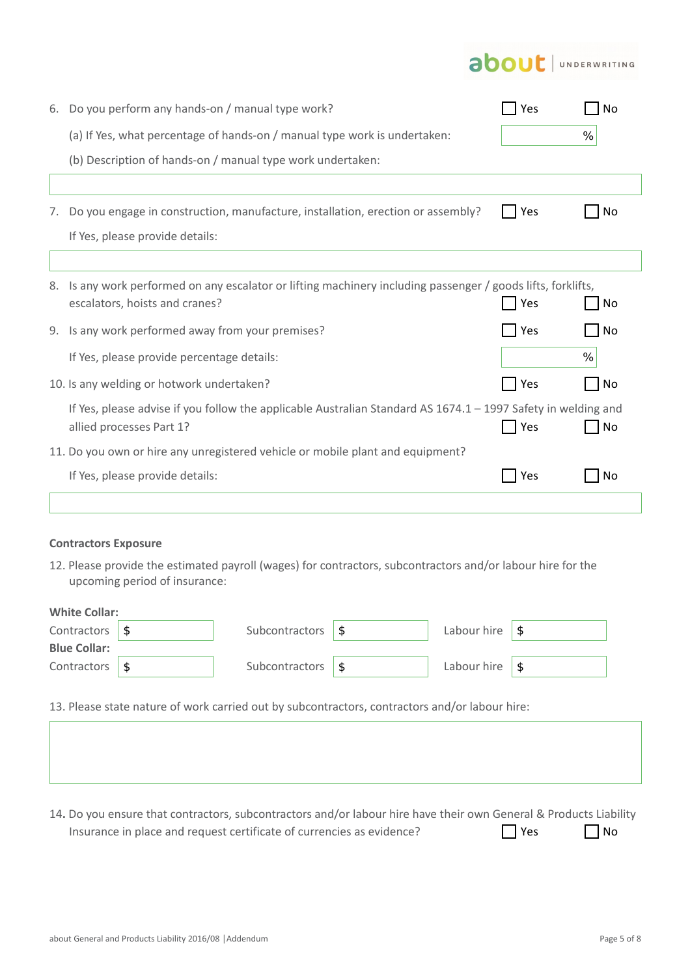# **about** JUNDERWRITING

| 6. | Do you perform any hands-on / manual type work?                                                               | Yes | No        |
|----|---------------------------------------------------------------------------------------------------------------|-----|-----------|
|    | (a) If Yes, what percentage of hands-on / manual type work is undertaken:                                     |     | %         |
|    | (b) Description of hands-on / manual type work undertaken:                                                    |     |           |
|    |                                                                                                               |     |           |
| 7. | Do you engage in construction, manufacture, installation, erection or assembly?                               | Yes | No        |
|    | If Yes, please provide details:                                                                               |     |           |
|    |                                                                                                               |     |           |
| 8. | Is any work performed on any escalator or lifting machinery including passenger / goods lifts, forklifts,     |     |           |
|    | escalators, hoists and cranes?                                                                                | Yes | <b>No</b> |
| 9. | Is any work performed away from your premises?                                                                | Yes | No        |
|    | If Yes, please provide percentage details:                                                                    |     | %         |
|    | 10. Is any welding or hotwork undertaken?                                                                     | Yes | No        |
|    | If Yes, please advise if you follow the applicable Australian Standard AS 1674.1 - 1997 Safety in welding and |     |           |
|    | allied processes Part 1?                                                                                      | Yes | <b>No</b> |
|    | 11. Do you own or hire any unregistered vehicle or mobile plant and equipment?                                |     |           |
|    | If Yes, please provide details:                                                                               | Yes | No        |
|    |                                                                                                               |     |           |

### **Contractors Exposure**

12. Please provide the estimated payroll (wages) for contractors, subcontractors and/or labour hire for the upcoming period of insurance:

| <b>Blue Collar:</b><br>Contractors \$<br>Labour hire $\sqrt{\ }$<br>Subcontractors | <b>White Collar:</b><br>Contractors \$ | Subcontractors | ∣\$ | Labour hire $\sqrt{\ }$ |  |
|------------------------------------------------------------------------------------|----------------------------------------|----------------|-----|-------------------------|--|
|                                                                                    |                                        |                |     |                         |  |
|                                                                                    |                                        |                |     |                         |  |

13. Please state nature of work carried out by subcontractors, contractors and/or labour hire:

14**.** Do you ensure that contractors, subcontractors and/or labour hire have their own General & Products Liability Insurance in place and request certificate of currencies as evidence?  $\Box$  Yes  $\Box$  No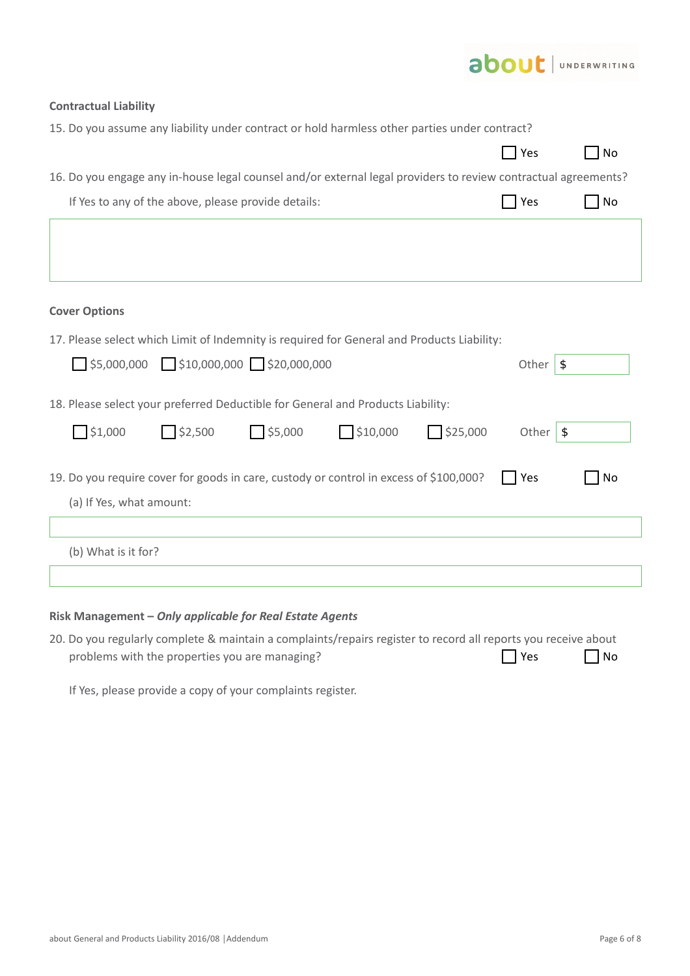|                                                                                                                    | <b>about</b> UNDERWRITING |           |
|--------------------------------------------------------------------------------------------------------------------|---------------------------|-----------|
| <b>Contractual Liability</b>                                                                                       |                           |           |
| 15. Do you assume any liability under contract or hold harmless other parties under contract?                      |                           |           |
|                                                                                                                    | <b>Yes</b>                | <b>No</b> |
| 16. Do you engage any in-house legal counsel and/or external legal providers to review contractual agreements?     |                           |           |
| If Yes to any of the above, please provide details:                                                                | Yes                       | No        |
|                                                                                                                    |                           |           |
| <b>Cover Options</b>                                                                                               |                           |           |
| 17. Please select which Limit of Indemnity is required for General and Products Liability:                         |                           |           |
| $\Box$ \$5,000,000 $\Box$ \$10,000,000 $\Box$ \$20,000,000                                                         | Other $\sqrt{s}$          |           |
| 18. Please select your preferred Deductible for General and Products Liability:                                    |                           |           |
| 51,000<br>$\Box$ \$5,000<br>52,500<br>510,000<br>$\Box$ \$25,000                                                   | Other $\sqrt{s}$          |           |
| 19. Do you require cover for goods in care, custody or control in excess of \$100,000?<br>(a) If Yes, what amount: | Yes                       | No        |
|                                                                                                                    |                           |           |
| (b) What is it for?                                                                                                |                           |           |
|                                                                                                                    |                           |           |

## **Risk Management –** *Only applicable for Real Estate Agents*

20. Do you regularly complete & maintain a complaints/repairs register to record all reports you receive about problems with the properties you are managing?  $\Box$  Yes  $\Box$  No

If Yes, please provide a copy of your complaints register.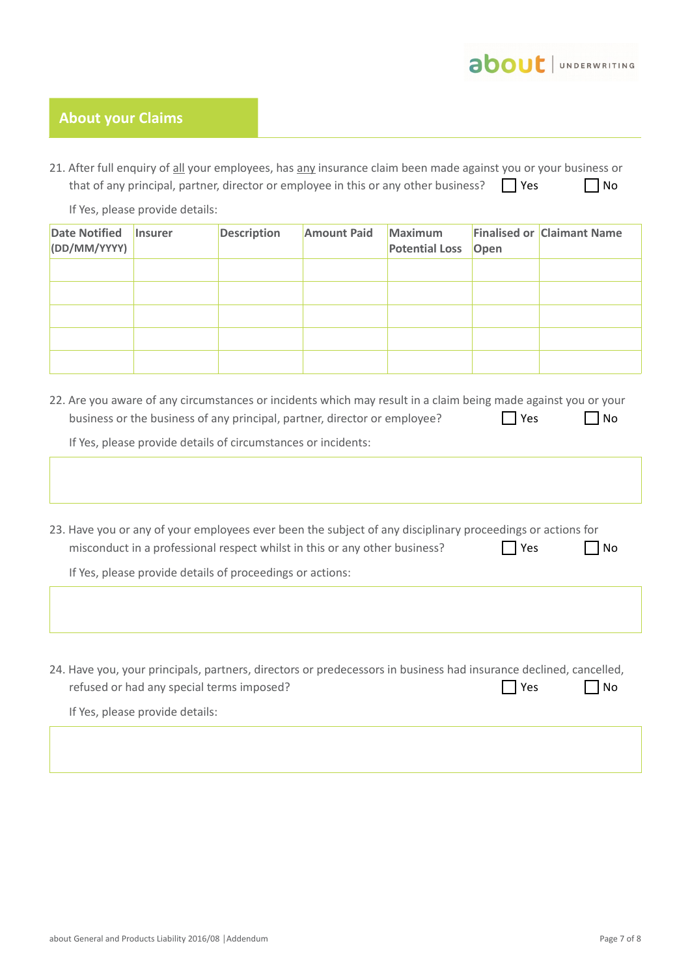

## **About your Claims**

21. After full enquiry of all your employees, has any insurance claim been made against you or your business or that of any principal, partner, director or employee in this or any other business?  $\Box$  Yes  $\Box$  No

If Yes, please provide details:

| <b>Date Notified</b><br>(DD/MM/YYYY) | <b>Insurer</b> | <b>Description</b> | <b>Amount Paid</b> | <b>Maximum</b><br><b>Potential Loss Open</b> | <b>Finalised or Claimant Name</b> |
|--------------------------------------|----------------|--------------------|--------------------|----------------------------------------------|-----------------------------------|
|                                      |                |                    |                    |                                              |                                   |
|                                      |                |                    |                    |                                              |                                   |
|                                      |                |                    |                    |                                              |                                   |
|                                      |                |                    |                    |                                              |                                   |
|                                      |                |                    |                    |                                              |                                   |

22. Are you aware of any circumstances or incidents which may result in a claim being made against you or your business or the business of any principal, partner, director or employee?  $\Box$  Yes  $\Box$  No

If Yes, please provide details of circumstances or incidents:

23. Have you or any of your employees ever been the subject of any disciplinary proceedings or actions for misconduct in a professional respect whilst in this or any other business?  $\Box$  Yes  $\Box$  No

If Yes, please provide details of proceedings or actions:

24. Have you, your principals, partners, directors or predecessors in business had insurance declined, cancelled, refused or had any special terms imposed? If Yes, please provide details:  $\Box$  Yes  $\Box$  No